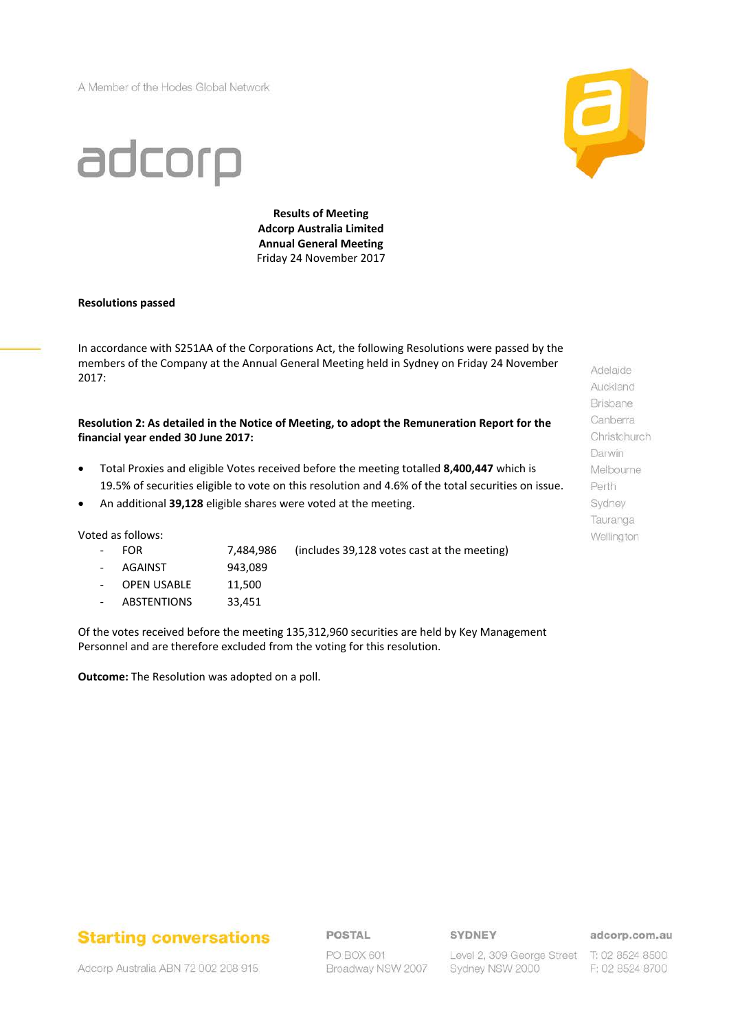A Member of the Hodes Global Network



# adcorp

**Results of Meeting Adcorp Australia Limited Annual General Meeting** Friday 24 November 2017

#### **Resolutions passed**

In accordance with S251AA of the Corporations Act, the following Resolutions were passed by the members of the Company at the Annual General Meeting held in Sydney on Friday 24 November 2017:

**Resolution 2: As detailed in the Notice of Meeting, to adopt the Remuneration Report for the financial year ended 30 June 2017:**

- Total Proxies and eligible Votes received before the meeting totalled **8,400,447** which is 19.5% of securities eligible to vote on this resolution and 4.6% of the total securities on issue.
- An additional **39,128** eligible shares were voted at the meeting.

Voted as follows:

- FOR 7,484,986 (includes 39,128 votes cast at the meeting)
- AGAINST 943,089
- OPEN USABLE 11,500
- ABSTENTIONS 33,451

Of the votes received before the meeting 135,312,960 securities are held by Key Management Personnel and are therefore excluded from the voting for this resolution.

**Outcome:** The Resolution was adopted on a poll.

Adelaide Auckland Brisbane Canberra Christchurch Darwin Melbourne Perth Sydney Tauranga Wellington

## **Starting conversations**

### POSTAL

SYDNEY

adcorp.com.au

Adcorp Australia ABN 72 002 208 915

PO BOX 601 Broadway NSW 2007

Level 2, 309 George Street T: 02 8524 8500 Sydney NSW 2000

F: 02 8524 8700